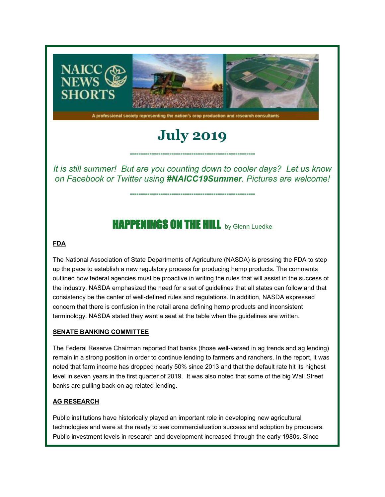

A professional society representing the nation's crop production and research consultants

# **July 2019**

*It is still summer! But are you counting down to cooler days? Let us know on Facebook or Twitter using #NAICC19Summer. Pictures are welcome!*

**---------------------------------------------------------**

**---------------------------------------------------------**

# **HAPPENINGS ON THE HILL** by Glenn Luedke

#### **FDA**

The National Association of State Departments of Agriculture (NASDA) is pressing the FDA to step up the pace to establish a new regulatory process for producing hemp products. The comments outlined how federal agencies must be proactive in writing the rules that will assist in the success of the industry. NASDA emphasized the need for a set of guidelines that all states can follow and that consistency be the center of well-defined rules and regulations. In addition, NASDA expressed concern that there is confusion in the retail arena defining hemp products and inconsistent terminology. NASDA stated they want a seat at the table when the guidelines are written.

#### **SENATE BANKING COMMITTEE**

The Federal Reserve Chairman reported that banks (those well-versed in ag trends and ag lending) remain in a strong position in order to continue lending to farmers and ranchers. In the report, it was noted that farm income has dropped nearly 50% since 2013 and that the default rate hit its highest level in seven years in the first quarter of 2019. It was also noted that some of the big Wall Street banks are pulling back on ag related lending.

#### **AG RESEARCH**

Public institutions have historically played an important role in developing new agricultural technologies and were at the ready to see commercialization success and adoption by producers. Public investment levels in research and development increased through the early 1980s. Since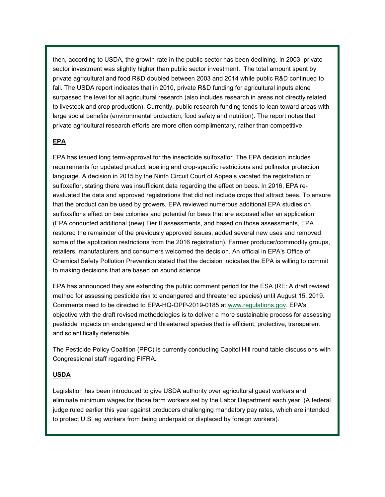then, according to USDA, the growth rate in the public sector has been declining. In 2003, private sector investment was slightly higher than public sector investment. The total amount spent by private agricultural and food R&D doubled between 2003 and 2014 while public R&D continued to fall. The USDA report indicates that in 2010, private R&D funding for agricultural inputs alone surpassed the level for all agricultural research (also includes research in areas not directly related to livestock and crop production). Currently, public research funding tends to lean toward areas with large social benefits (environmental protection, food safety and nutrition). The report notes that private agricultural research efforts are more often complimentary, rather than competitive.

#### **EPA**

EPA has issued long term-approval for the insecticide sulfoxaflor. The EPA decision includes requirements for updated product labeling and crop-specific restrictions and pollinator protection language. A decision in 2015 by the Ninth Circuit Court of Appeals vacated the registration of sulfoxaflor, stating there was insufficient data regarding the effect on bees. In 2016, EPA reevaluated the data and approved registrations that did not include crops that attract bees. To ensure that the product can be used by growers, EPA reviewed numerous additional EPA studies on sulfoxaflor's effect on bee colonies and potential for bees that are exposed after an application. (EPA conducted additional (new) Tier II assessments, and based on those assessments, EPA restored the remainder of the previously approved issues, added several new uses and removed some of the application restrictions from the 2016 registration). Farmer producer/commodity groups, retailers, manufacturers and consumers welcomed the decision. An official in EPA's Office of Chemical Safety Pollution Prevention stated that the decision indicates the EPA is willing to commit to making decisions that are based on sound science.

EPA has announced they are extending the public comment period for the ESA (RE: A draft revised method for assessing pesticide risk to endangered and threatened species) until August 15, 2019. Comments need to be directed to EPA-HQ-OPP-2019-0185 at [www.regulations.gov.](https://naicc.wildapricot.org/EmailTracker/LinkTracker.ashx?linkAndRecipientCode=CDaGhsXP%2brIUAqRzOeW82%2bShuWMQjC5UnptT0jc7PzbkntkTwHiLxf4RpCnjgfSM4mVtYH%2bGxjMJnfmZVWdxsD4y32tJuwh87v4TNa1U1UQ%3d) EPA's objective with the draft revised methodologies is to deliver a more sustainable process for assessing pesticide impacts on endangered and threatened species that is efficient, protective, transparent and scientifically defensible.

The Pesticide Policy Coalition (PPC) is currently conducting Capitol Hill round table discussions with Congressional staff regarding FIFRA.

#### **USDA**

Legislation has been introduced to give USDA authority over agricultural guest workers and eliminate minimum wages for those farm workers set by the Labor Department each year. (A federal judge ruled earlier this year against producers challenging mandatory pay rates, which are intended to protect U.S. ag workers from being underpaid or displaced by foreign workers).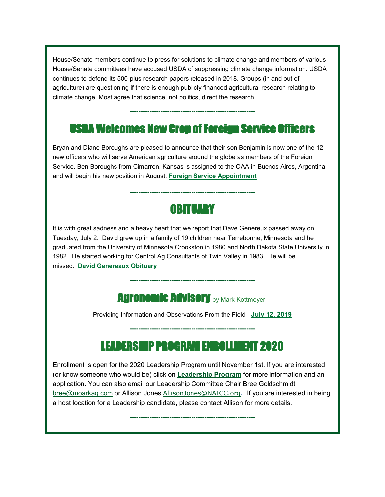House/Senate members continue to press for solutions to climate change and members of various House/Senate committees have accused USDA of suppressing climate change information. USDA continues to defend its 500-plus research papers released in 2018. Groups (in and out of agriculture) are questioning if there is enough publicly financed agricultural research relating to climate change. Most agree that science, not politics, direct the research.

# USDA Welcomes New Crop of Foreign Service Officers

**---------------------------------------------------------**

Bryan and Diane Boroughs are pleased to announce that their son Benjamin is now one of the 12 new officers who will serve American agriculture around the globe as members of the Foreign Service. Ben Boroughs from Cimarron, Kansas is assigned to the OAA in Buenos Aires, Argentina and will begin his new position in August. **[Foreign Service Appointment](https://naicc.wildapricot.org/EmailTracker/LinkTracker.ashx?linkAndRecipientCode=CrTpoygX1OKElNMoXP4rnmicQ%2bcfTjSbheeG8d3yBr74q4J66RZFdWDFCS0ejfKFFnGOguODla6tM0LLF1qbL0qhgN7RdHfRvIvIbTAXyp8%3d)**

# **OBITUARY**

**---------------------------------------------------------**

It is with great sadness and a heavy heart that we report that Dave Genereux passed away on Tuesday, July 2. David grew up in a family of 19 children near Terrebonne, Minnesota and he graduated from the University of Minnesota Crookston in 1980 and North Dakota State University in 1982. He started working for Centrol Ag Consultants of Twin Valley in 1983. He will be missed. **[David Genereaux Obituary](https://naicc.wildapricot.org/EmailTracker/LinkTracker.ashx?linkAndRecipientCode=70QuxPsmWCMOnBoQeW1BZsHenm7PXa6q2eSmdbJ7vGNmGTgymsVrrVJ%2ba9rr%2ftqutD10IunQraiy3PmsbG%2fKCqHQed3uqpk%2bnHPyq%2fl%2fB1s%3d)**

### **Agronomic Advisory by Mark Kottmeyer**

**---------------------------------------------------------**

Providing Information and Observations From the Field **[July 12, 2019](https://naicc.wildapricot.org/EmailTracker/LinkTracker.ashx?linkAndRecipientCode=cABmi7gPb5LiGoSU7ZcAmyNTcVJpnL%2fTjzNbk%2fwy6%2bsrJjj6TdGGTGFssOdqTPiohNe7GmVP9FYTMk64Zu146U%2bV19MsamwLT8k%2fZgpBkRU%3d)**

### LEADERSHIP PROGRAM ENROLLMENT 2020

**---------------------------------------------------------**

Enrollment is open for the 2020 Leadership Program until November 1st. If you are interested (or know someone who would be) click on **[Leadership Program](https://naicc.wildapricot.org/EmailTracker/LinkTracker.ashx?linkAndRecipientCode=zsQzaBd9qwsVIPnHXvc%2f%2fRe4S%2bSorWJNlefoPRt1PWcYPBpakexBxZZc5x6XABq3CVzJ3WNHIPI2CzNrs%2bLkTik5KTdofD3a%2bd0P5Yf0a80%3d)** for more information and an application. You can also email our Leadership Committee Chair Bree Goldschmidt [bree@moarkag.com](mailto:bree@moarkag.com) or Allison Jones [AllisonJones@NAICC.org.](mailto:AllisonJones@NAICC.org) If you are interested in being a host location for a Leadership candidate, please contact Allison for more details.

**---------------------------------------------------------**